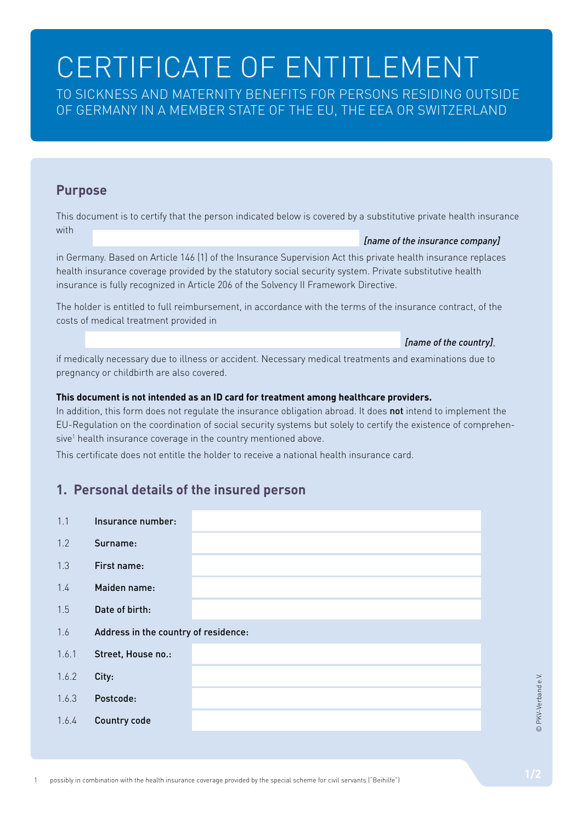# CERTIFICATE OF ENTITLEMENT

TO SICKNESS AND MATERNITY BENEFITS FOR PERSONS RESIDING OUTSIDE OF GERMANY IN A MEMBER STATE OF THE EU, THE EEA OR SWITZERLAND

### **Purpose**

This document is to certify that the person indicated below is covered by a substitutive private health insurance with *[name of the insurance company]*

in Germany. Based on Article 146 (1) of the Insurance Supervision Act this private health insurance replaces

health insurance coverage provided by the statutory social security system. Private substitutive health insurance is fully recognized in Article 206 of the Solvency II Framework Directive.

The holder is entitled to full reimbursement, in accordance with the terms of the insurance contract, of the costs of medical treatment provided in

#### *[name of the country]*,

if medically necessary due to illness or accident. Necessary medical treatments and examinations due to pregnancy or childbirth are also covered.

#### **This document is not intended as an ID card for treatment among healthcare providers.**

In addition, this form does not regulate the insurance obligation abroad. It does not intend to implement the EU-Regulation on the coordination of social security systems but solely to certify the existence of comprehensive<sup>1</sup> health insurance coverage in the country mentioned above.

This certificate does not entitle the holder to receive a national health insurance card.

## **1. Personal details of the insured person**

| 1.1   | Insurance number:                    |  |  |
|-------|--------------------------------------|--|--|
| 1.2   | Surname:                             |  |  |
| 1.3   | First name:                          |  |  |
| 1.4   | Maiden name:                         |  |  |
| 1.5   | Date of birth:                       |  |  |
| 1.6   | Address in the country of residence: |  |  |
| 1.6.1 | Street, House no.:                   |  |  |
| 1.6.2 | City:                                |  |  |
| 1.6.3 | Postcode:                            |  |  |
| 1.6.4 | <b>Country code</b>                  |  |  |
|       |                                      |  |  |